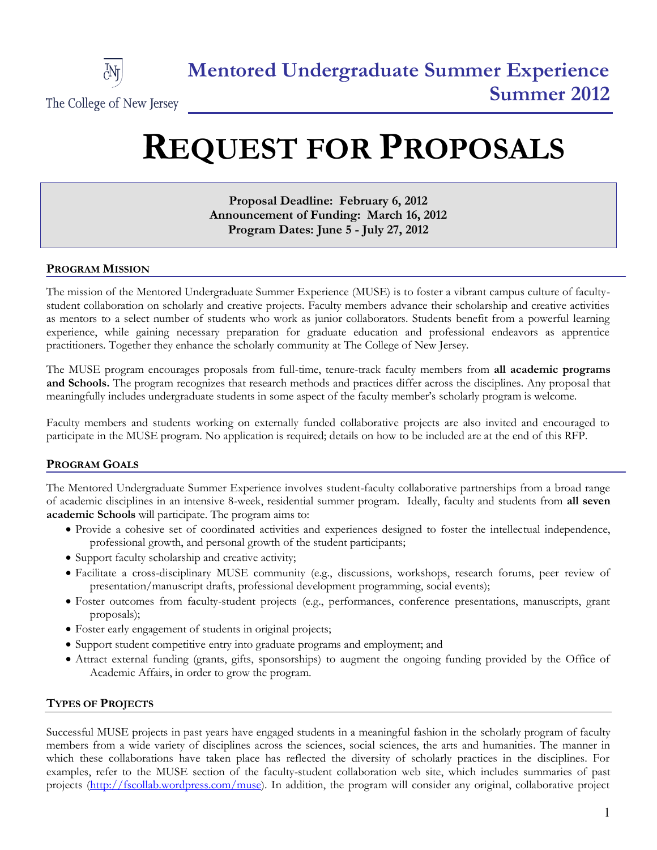

# **REQUEST FOR PROPOSALS**

**Proposal Deadline: February 6, 2012 Announcement of Funding: March 16, 2012 Program Dates: June 5 - July 27, 2012**

## **PROGRAM MISSION**

The mission of the Mentored Undergraduate Summer Experience (MUSE) is to foster a vibrant campus culture of facultystudent collaboration on scholarly and creative projects. Faculty members advance their scholarship and creative activities as mentors to a select number of students who work as junior collaborators. Students benefit from a powerful learning experience, while gaining necessary preparation for graduate education and professional endeavors as apprentice practitioners. Together they enhance the scholarly community at The College of New Jersey.

The MUSE program encourages proposals from full-time, tenure-track faculty members from **all academic programs and Schools.** The program recognizes that research methods and practices differ across the disciplines. Any proposal that meaningfully includes undergraduate students in some aspect of the faculty member's scholarly program is welcome.

Faculty members and students working on externally funded collaborative projects are also invited and encouraged to participate in the MUSE program. No application is required; details on how to be included are at the end of this RFP.

## **PROGRAM GOALS**

The Mentored Undergraduate Summer Experience involves student-faculty collaborative partnerships from a broad range of academic disciplines in an intensive 8-week, residential summer program. Ideally, faculty and students from **all seven academic Schools** will participate. The program aims to:

- Provide a cohesive set of coordinated activities and experiences designed to foster the intellectual independence, professional growth, and personal growth of the student participants;
- Support faculty scholarship and creative activity;
- Facilitate a cross-disciplinary MUSE community (e.g., discussions, workshops, research forums, peer review of presentation/manuscript drafts, professional development programming, social events);
- Foster outcomes from faculty-student projects (e.g., performances, conference presentations, manuscripts, grant proposals);
- Foster early engagement of students in original projects;
- Support student competitive entry into graduate programs and employment; and
- Attract external funding (grants, gifts, sponsorships) to augment the ongoing funding provided by the Office of Academic Affairs, in order to grow the program.

## **TYPES OF PROJECTS**

Successful MUSE projects in past years have engaged students in a meaningful fashion in the scholarly program of faculty members from a wide variety of disciplines across the sciences, social sciences, the arts and humanities. The manner in which these collaborations have taken place has reflected the diversity of scholarly practices in the disciplines. For examples, refer to the MUSE section of the faculty-student collaboration web site, which includes summaries of past projects [\(http://fscollab.wordpress.com/muse\)](http://fscollab.wordpress.com/muse). In addition, the program will consider any original, collaborative project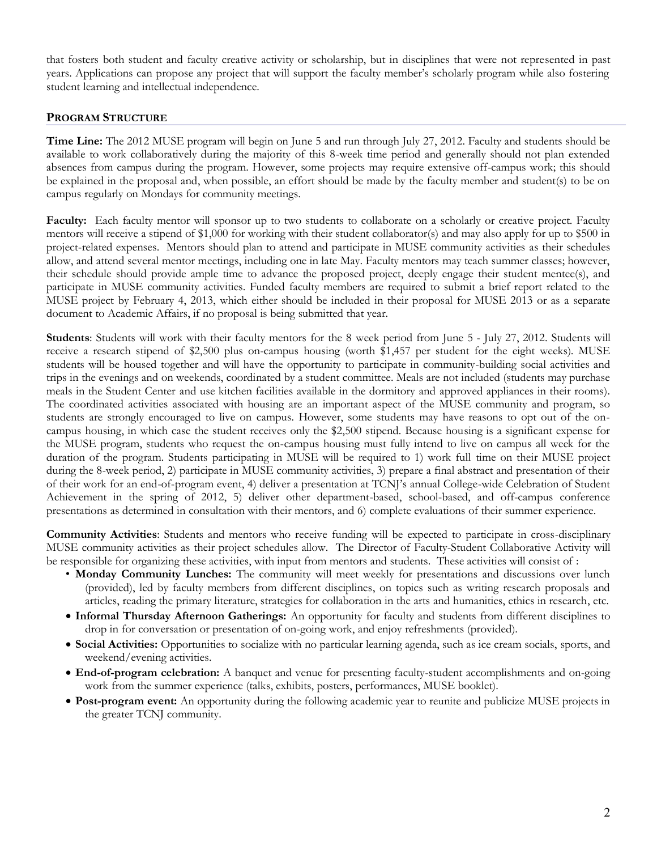that fosters both student and faculty creative activity or scholarship, but in disciplines that were not represented in past years. Applications can propose any project that will support the faculty member's scholarly program while also fostering student learning and intellectual independence.

## **PROGRAM STRUCTURE**

**Time Line:** The 2012 MUSE program will begin on June 5 and run through July 27, 2012. Faculty and students should be available to work collaboratively during the majority of this 8-week time period and generally should not plan extended absences from campus during the program. However, some projects may require extensive off-campus work; this should be explained in the proposal and, when possible, an effort should be made by the faculty member and student(s) to be on campus regularly on Mondays for community meetings.

**Faculty:** Each faculty mentor will sponsor up to two students to collaborate on a scholarly or creative project. Faculty mentors will receive a stipend of \$1,000 for working with their student collaborator(s) and may also apply for up to \$500 in project-related expenses. Mentors should plan to attend and participate in MUSE community activities as their schedules allow, and attend several mentor meetings, including one in late May. Faculty mentors may teach summer classes; however, their schedule should provide ample time to advance the proposed project, deeply engage their student mentee(s), and participate in MUSE community activities. Funded faculty members are required to submit a brief report related to the MUSE project by February 4, 2013, which either should be included in their proposal for MUSE 2013 or as a separate document to Academic Affairs, if no proposal is being submitted that year.

**Students**: Students will work with their faculty mentors for the 8 week period from June 5 - July 27, 2012. Students will receive a research stipend of \$2,500 plus on-campus housing (worth \$1,457 per student for the eight weeks). MUSE students will be housed together and will have the opportunity to participate in community-building social activities and trips in the evenings and on weekends, coordinated by a student committee. Meals are not included (students may purchase meals in the Student Center and use kitchen facilities available in the dormitory and approved appliances in their rooms). The coordinated activities associated with housing are an important aspect of the MUSE community and program, so students are strongly encouraged to live on campus. However, some students may have reasons to opt out of the oncampus housing, in which case the student receives only the \$2,500 stipend. Because housing is a significant expense for the MUSE program, students who request the on-campus housing must fully intend to live on campus all week for the duration of the program. Students participating in MUSE will be required to 1) work full time on their MUSE project during the 8-week period, 2) participate in MUSE community activities, 3) prepare a final abstract and presentation of their of their work for an end-of-program event, 4) deliver a presentation at TCNJ's annual College-wide Celebration of Student Achievement in the spring of 2012, 5) deliver other department-based, school-based, and off-campus conference presentations as determined in consultation with their mentors, and 6) complete evaluations of their summer experience.

**Community Activities**: Students and mentors who receive funding will be expected to participate in cross-disciplinary MUSE community activities as their project schedules allow. The Director of Faculty-Student Collaborative Activity will be responsible for organizing these activities, with input from mentors and students. These activities will consist of :

- **Monday Community Lunches:** The community will meet weekly for presentations and discussions over lunch (provided), led by faculty members from different disciplines, on topics such as writing research proposals and articles, reading the primary literature, strategies for collaboration in the arts and humanities, ethics in research, etc.
- **Informal Thursday Afternoon Gatherings:** An opportunity for faculty and students from different disciplines to drop in for conversation or presentation of on-going work, and enjoy refreshments (provided).
- **Social Activities:** Opportunities to socialize with no particular learning agenda, such as ice cream socials, sports, and weekend/evening activities.
- **End-of-program celebration:** A banquet and venue for presenting faculty-student accomplishments and on-going work from the summer experience (talks, exhibits, posters, performances, MUSE booklet).
- **Post-program event:** An opportunity during the following academic year to reunite and publicize MUSE projects in the greater TCNJ community.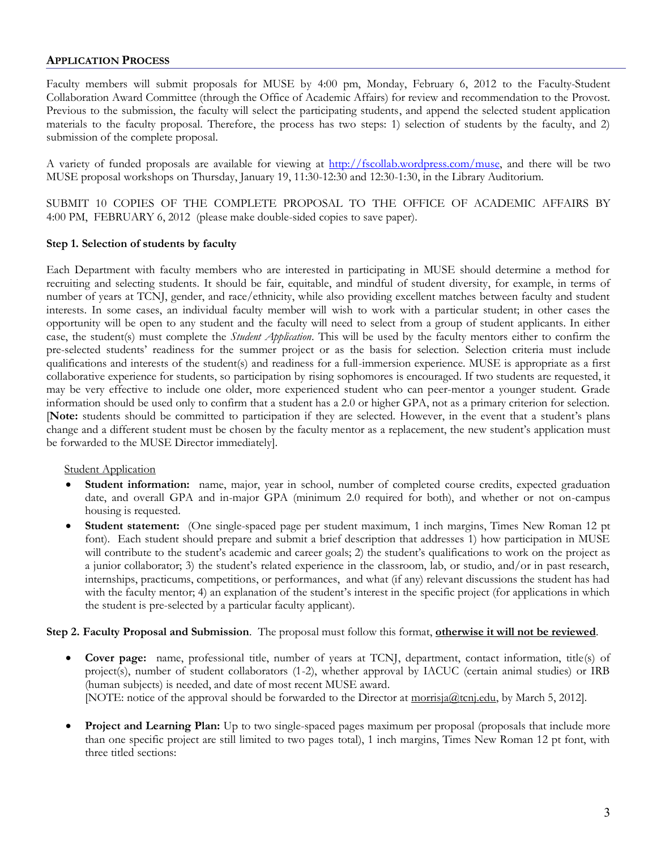### **APPLICATION PROCESS**

Faculty members will submit proposals for MUSE by 4:00 pm, Monday, February 6, 2012 to the Faculty-Student Collaboration Award Committee (through the Office of Academic Affairs) for review and recommendation to the Provost. Previous to the submission, the faculty will select the participating students, and append the selected student application materials to the faculty proposal. Therefore, the process has two steps: 1) selection of students by the faculty, and 2) submission of the complete proposal.

A variety of funded proposals are available for viewing at [http://fscollab.wordpress.com/muse,](http://fscollab.wordpress.com/muse) and there will be two MUSE proposal workshops on Thursday, January 19, 11:30-12:30 and 12:30-1:30, in the Library Auditorium.

SUBMIT 10 COPIES OF THE COMPLETE PROPOSAL TO THE OFFICE OF ACADEMIC AFFAIRS BY 4:00 PM, FEBRUARY 6, 2012 (please make double-sided copies to save paper).

#### **Step 1. Selection of students by faculty**

Each Department with faculty members who are interested in participating in MUSE should determine a method for recruiting and selecting students. It should be fair, equitable, and mindful of student diversity, for example, in terms of number of years at TCNJ, gender, and race/ethnicity, while also providing excellent matches between faculty and student interests. In some cases, an individual faculty member will wish to work with a particular student; in other cases the opportunity will be open to any student and the faculty will need to select from a group of student applicants. In either case, the student(s) must complete the *Student Application*. This will be used by the faculty mentors either to confirm the pre-selected students' readiness for the summer project or as the basis for selection. Selection criteria must include qualifications and interests of the student(s) and readiness for a full-immersion experience. MUSE is appropriate as a first collaborative experience for students, so participation by rising sophomores is encouraged. If two students are requested, it may be very effective to include one older, more experienced student who can peer-mentor a younger student. Grade information should be used only to confirm that a student has a 2.0 or higher GPA, not as a primary criterion for selection. [**Note:** students should be committed to participation if they are selected. However, in the event that a student's plans change and a different student must be chosen by the faculty mentor as a replacement, the new student's application must be forwarded to the MUSE Director immediately].

#### **Student Application**

- **Student information:** name, major, year in school, number of completed course credits, expected graduation date, and overall GPA and in-major GPA (minimum 2.0 required for both), and whether or not on-campus housing is requested.
- **Student statement:** (One single-spaced page per student maximum, 1 inch margins, Times New Roman 12 pt font).Each student should prepare and submit a brief description that addresses 1) how participation in MUSE will contribute to the student's academic and career goals; 2) the student's qualifications to work on the project as a junior collaborator; 3) the student's related experience in the classroom, lab, or studio, and/or in past research, internships, practicums, competitions, or performances, and what (if any) relevant discussions the student has had with the faculty mentor; 4) an explanation of the student's interest in the specific project (for applications in which the student is pre-selected by a particular faculty applicant).

## **Step 2. Faculty Proposal and Submission**. The proposal must follow this format, **otherwise it will not be reviewed**.

- **Cover page:** name, professional title, number of years at TCNJ, department, contact information, title(s) of project(s), number of student collaborators (1-2), whether approval by IACUC (certain animal studies) or IRB (human subjects) is needed, and date of most recent MUSE award. [NOTE: notice of the approval should be forwarded to the Director at [morrisja@tcnj.edu,](mailto:morrisja@tcnj.edu) by March 5, 2012].
- **Project and Learning Plan:** Up to two single-spaced pages maximum per proposal (proposals that include more than one specific project are still limited to two pages total), 1 inch margins, Times New Roman 12 pt font, with three titled sections: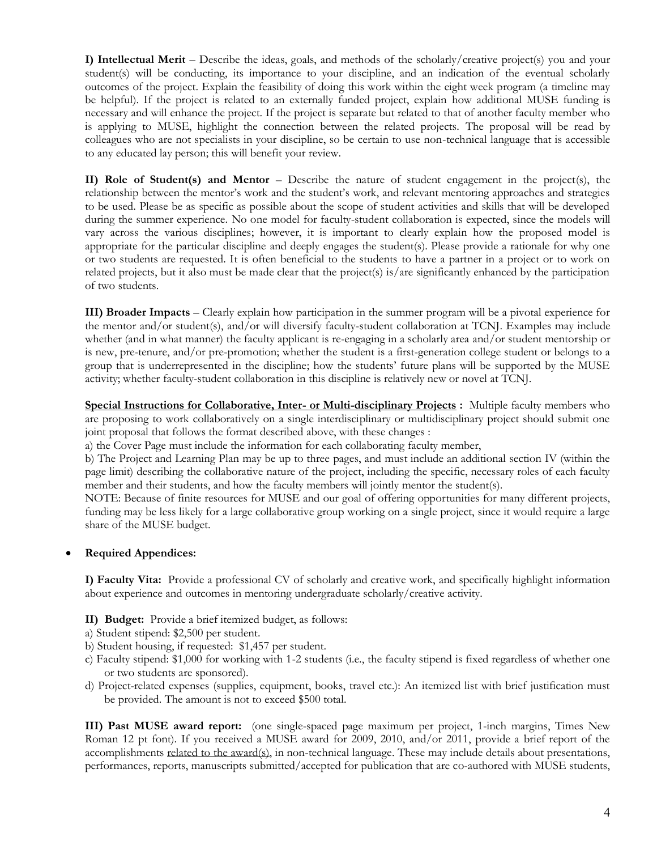**I) Intellectual Merit** – Describe the ideas, goals, and methods of the scholarly/creative project(s) you and your student(s) will be conducting, its importance to your discipline, and an indication of the eventual scholarly outcomes of the project. Explain the feasibility of doing this work within the eight week program (a timeline may be helpful). If the project is related to an externally funded project, explain how additional MUSE funding is necessary and will enhance the project. If the project is separate but related to that of another faculty member who is applying to MUSE, highlight the connection between the related projects. The proposal will be read by colleagues who are not specialists in your discipline, so be certain to use non-technical language that is accessible to any educated lay person; this will benefit your review.

**II) Role of Student(s) and Mentor** – Describe the nature of student engagement in the project(s), the relationship between the mentor's work and the student's work, and relevant mentoring approaches and strategies to be used. Please be as specific as possible about the scope of student activities and skills that will be developed during the summer experience. No one model for faculty-student collaboration is expected, since the models will vary across the various disciplines; however, it is important to clearly explain how the proposed model is appropriate for the particular discipline and deeply engages the student(s). Please provide a rationale for why one or two students are requested. It is often beneficial to the students to have a partner in a project or to work on related projects, but it also must be made clear that the project(s) is/are significantly enhanced by the participation of two students.

**III) Broader Impacts** – Clearly explain how participation in the summer program will be a pivotal experience for the mentor and/or student(s), and/or will diversify faculty-student collaboration at TCNJ. Examples may include whether (and in what manner) the faculty applicant is re-engaging in a scholarly area and/or student mentorship or is new, pre-tenure, and/or pre-promotion; whether the student is a first-generation college student or belongs to a group that is underrepresented in the discipline; how the students' future plans will be supported by the MUSE activity; whether faculty-student collaboration in this discipline is relatively new or novel at TCNJ.

**Special Instructions for Collaborative, Inter- or Multi-disciplinary Projects :** Multiple faculty members who are proposing to work collaboratively on a single interdisciplinary or multidisciplinary project should submit one joint proposal that follows the format described above, with these changes :

a) the Cover Page must include the information for each collaborating faculty member,

b) The Project and Learning Plan may be up to three pages, and must include an additional section IV (within the page limit) describing the collaborative nature of the project, including the specific, necessary roles of each faculty member and their students, and how the faculty members will jointly mentor the student(s).

NOTE: Because of finite resources for MUSE and our goal of offering opportunities for many different projects, funding may be less likely for a large collaborative group working on a single project, since it would require a large share of the MUSE budget.

## **Required Appendices:**

**I) Faculty Vita:** Provide a professional CV of scholarly and creative work, and specifically highlight information about experience and outcomes in mentoring undergraduate scholarly/creative activity.

**II) Budget:** Provide a brief itemized budget, as follows:

- a) Student stipend: \$2,500 per student.
- b) Student housing, if requested: \$1,457 per student.
- c) Faculty stipend: \$1,000 for working with 1-2 students (i.e., the faculty stipend is fixed regardless of whether one or two students are sponsored).
- d) Project-related expenses (supplies, equipment, books, travel etc.): An itemized list with brief justification must be provided. The amount is not to exceed \$500 total.

**III) Past MUSE award report:** (one single-spaced page maximum per project, 1-inch margins, Times New Roman 12 pt font). If you received a MUSE award for 2009, 2010, and/or 2011, provide a brief report of the accomplishments <u>related to the award(s)</u>, in non-technical language. These may include details about presentations, performances, reports, manuscripts submitted/accepted for publication that are co-authored with MUSE students,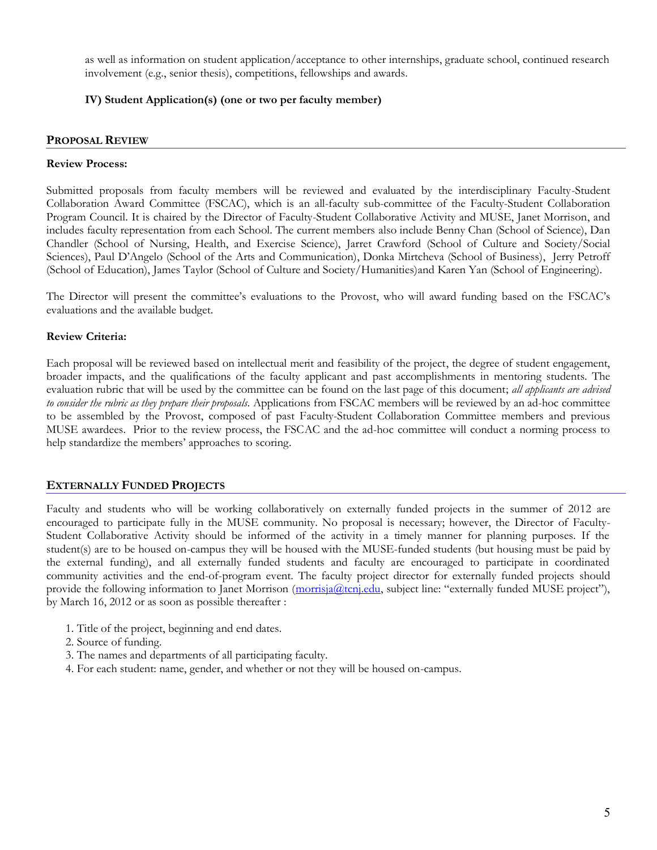as well as information on student application/acceptance to other internships, graduate school, continued research involvement (e.g., senior thesis), competitions, fellowships and awards.

## **IV) Student Application(s) (one or two per faculty member)**

## **PROPOSAL REVIEW**

#### **Review Process:**

Submitted proposals from faculty members will be reviewed and evaluated by the interdisciplinary Faculty-Student Collaboration Award Committee (FSCAC), which is an all-faculty sub-committee of the Faculty-Student Collaboration Program Council. It is chaired by the Director of Faculty-Student Collaborative Activity and MUSE, Janet Morrison, and includes faculty representation from each School. The current members also include Benny Chan (School of Science), Dan Chandler (School of Nursing, Health, and Exercise Science), Jarret Crawford (School of Culture and Society/Social Sciences), Paul D'Angelo (School of the Arts and Communication), Donka Mirtcheva (School of Business), Jerry Petroff (School of Education), James Taylor (School of Culture and Society/Humanities)and Karen Yan (School of Engineering).

The Director will present the committee's evaluations to the Provost, who will award funding based on the FSCAC's evaluations and the available budget.

## **Review Criteria:**

Each proposal will be reviewed based on intellectual merit and feasibility of the project, the degree of student engagement, broader impacts, and the qualifications of the faculty applicant and past accomplishments in mentoring students. The evaluation rubric that will be used by the committee can be found on the last page of this document; *all applicants are advised to consider the rubric as they prepare their proposals.* Applications from FSCAC members will be reviewed by an ad-hoc committee to be assembled by the Provost, composed of past Faculty-Student Collaboration Committee members and previous MUSE awardees. Prior to the review process, the FSCAC and the ad-hoc committee will conduct a norming process to help standardize the members' approaches to scoring.

#### **EXTERNALLY FUNDED PROJECTS**

Faculty and students who will be working collaboratively on externally funded projects in the summer of 2012 are encouraged to participate fully in the MUSE community. No proposal is necessary; however, the Director of Faculty-Student Collaborative Activity should be informed of the activity in a timely manner for planning purposes. If the student(s) are to be housed on-campus they will be housed with the MUSE-funded students (but housing must be paid by the external funding), and all externally funded students and faculty are encouraged to participate in coordinated community activities and the end-of-program event. The faculty project director for externally funded projects should provide the following information to Janet Morrison [\(morrisja@tcnj.edu](mailto:morrisja@tcnj.edu), subject line: "externally funded MUSE project"), by March 16, 2012 or as soon as possible thereafter :

- 1. Title of the project, beginning and end dates.
- 2. Source of funding.
- 3. The names and departments of all participating faculty.
- 4. For each student: name, gender, and whether or not they will be housed on-campus.